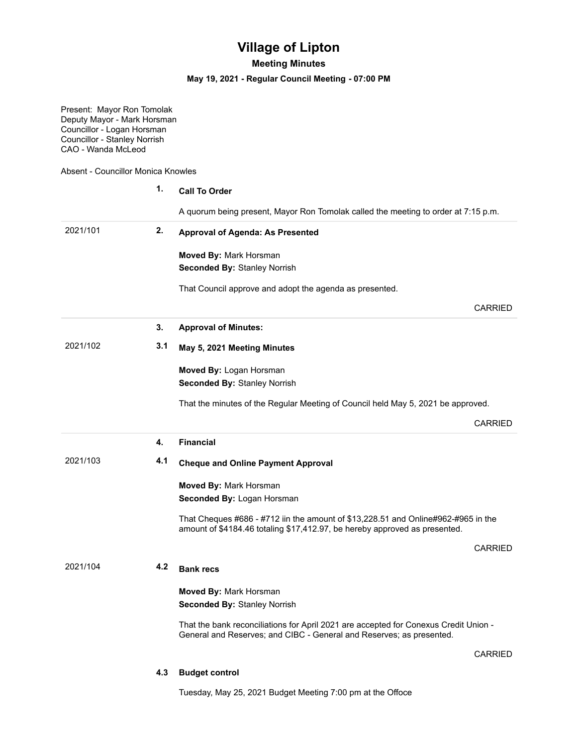## **Village of Lipton**

## **Meeting Minutes**

## **May 19, 2021 - Regular Council Meeting - 07:00 PM**

Present: Mayor Ron Tomolak Deputy Mayor - Mark Horsman Councillor - Logan Horsman Councillor - Stanley Norrish CAO - Wanda McLeod

Absent - Councillor Monica Knowles

|          | 1.  | <b>Call To Order</b>                                                                                                                                             |  |
|----------|-----|------------------------------------------------------------------------------------------------------------------------------------------------------------------|--|
|          |     | A quorum being present, Mayor Ron Tomolak called the meeting to order at 7:15 p.m.                                                                               |  |
| 2021/101 | 2.  | <b>Approval of Agenda: As Presented</b>                                                                                                                          |  |
|          |     | Moved By: Mark Horsman                                                                                                                                           |  |
|          |     | <b>Seconded By: Stanley Norrish</b>                                                                                                                              |  |
|          |     | That Council approve and adopt the agenda as presented.                                                                                                          |  |
|          |     | <b>CARRIED</b>                                                                                                                                                   |  |
|          |     |                                                                                                                                                                  |  |
|          | 3.  | <b>Approval of Minutes:</b>                                                                                                                                      |  |
| 2021/102 | 3.1 | May 5, 2021 Meeting Minutes                                                                                                                                      |  |
|          |     | Moved By: Logan Horsman                                                                                                                                          |  |
|          |     | <b>Seconded By: Stanley Norrish</b>                                                                                                                              |  |
|          |     | That the minutes of the Regular Meeting of Council held May 5, 2021 be approved.                                                                                 |  |
|          |     | <b>CARRIED</b>                                                                                                                                                   |  |
|          | 4.  | <b>Financial</b>                                                                                                                                                 |  |
| 2021/103 | 4.1 | <b>Cheque and Online Payment Approval</b>                                                                                                                        |  |
|          |     | Moved By: Mark Horsman                                                                                                                                           |  |
|          |     | Seconded By: Logan Horsman                                                                                                                                       |  |
|          |     | That Cheques #686 - #712 iin the amount of $$13,228.51$ and Online#962-#965 in the<br>amount of \$4184.46 totaling \$17,412.97, be hereby approved as presented. |  |
|          |     | <b>CARRIED</b>                                                                                                                                                   |  |
| 2021/104 | 4.2 | <b>Bank recs</b>                                                                                                                                                 |  |
|          |     | Moved By: Mark Horsman                                                                                                                                           |  |
|          |     | <b>Seconded By: Stanley Norrish</b>                                                                                                                              |  |
|          |     | That the bank reconciliations for April 2021 are accepted for Conexus Credit Union -                                                                             |  |
|          |     | General and Reserves; and CIBC - General and Reserves; as presented.                                                                                             |  |
|          |     | <b>CARRIED</b>                                                                                                                                                   |  |

Tuesday, May 25, 2021 Budget Meeting 7:00 pm at the Offoce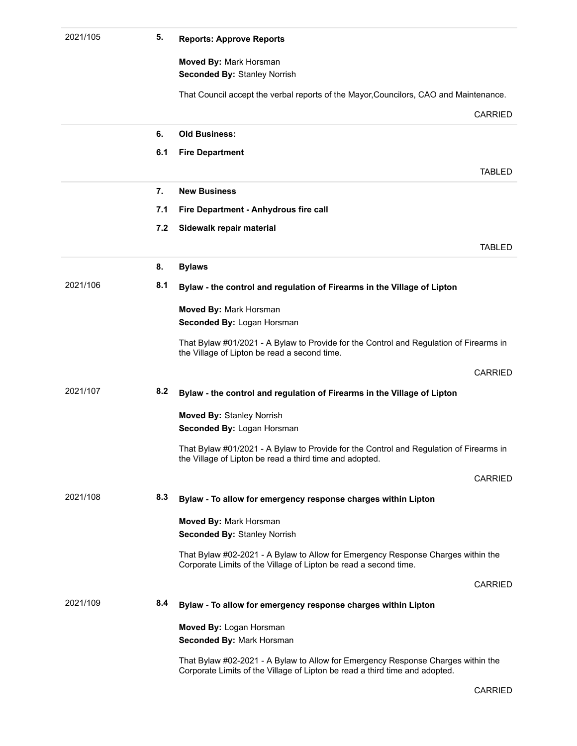| 2021/105 | 5.  | <b>Reports: Approve Reports</b>                                                                                                                                 |
|----------|-----|-----------------------------------------------------------------------------------------------------------------------------------------------------------------|
|          |     | Moved By: Mark Horsman                                                                                                                                          |
|          |     | <b>Seconded By: Stanley Norrish</b>                                                                                                                             |
|          |     | That Council accept the verbal reports of the Mayor, Councilors, CAO and Maintenance.                                                                           |
|          |     | <b>CARRIED</b>                                                                                                                                                  |
|          |     |                                                                                                                                                                 |
|          | 6.  | <b>Old Business:</b>                                                                                                                                            |
|          | 6.1 | <b>Fire Department</b>                                                                                                                                          |
|          |     | <b>TABLED</b>                                                                                                                                                   |
|          | 7.  | <b>New Business</b>                                                                                                                                             |
|          | 7.1 | Fire Department - Anhydrous fire call                                                                                                                           |
|          | 7.2 | Sidewalk repair material                                                                                                                                        |
|          |     | <b>TABLED</b>                                                                                                                                                   |
|          |     |                                                                                                                                                                 |
|          | 8.  | <b>Bylaws</b>                                                                                                                                                   |
| 2021/106 | 8.1 | Bylaw - the control and regulation of Firearms in the Village of Lipton                                                                                         |
|          |     | Moved By: Mark Horsman                                                                                                                                          |
|          |     | Seconded By: Logan Horsman                                                                                                                                      |
|          |     | That Bylaw #01/2021 - A Bylaw to Provide for the Control and Regulation of Firearms in                                                                          |
|          |     | the Village of Lipton be read a second time.                                                                                                                    |
|          |     | CARRIED                                                                                                                                                         |
| 2021/107 | 8.2 | Bylaw - the control and regulation of Firearms in the Village of Lipton                                                                                         |
|          |     | <b>Moved By: Stanley Norrish</b>                                                                                                                                |
|          |     | Seconded By: Logan Horsman                                                                                                                                      |
|          |     | That Bylaw #01/2021 - A Bylaw to Provide for the Control and Regulation of Firearms in<br>the Village of Lipton be read a third time and adopted.               |
|          |     |                                                                                                                                                                 |
|          |     | CARRIED                                                                                                                                                         |
| 2021/108 | 8.3 | Bylaw - To allow for emergency response charges within Lipton                                                                                                   |
|          |     | Moved By: Mark Horsman                                                                                                                                          |
|          |     | <b>Seconded By: Stanley Norrish</b>                                                                                                                             |
|          |     | That Bylaw #02-2021 - A Bylaw to Allow for Emergency Response Charges within the<br>Corporate Limits of the Village of Lipton be read a second time.            |
|          |     | CARRIED                                                                                                                                                         |
| 2021/109 | 8.4 | Bylaw - To allow for emergency response charges within Lipton                                                                                                   |
|          |     |                                                                                                                                                                 |
|          |     | Moved By: Logan Horsman<br>Seconded By: Mark Horsman                                                                                                            |
|          |     |                                                                                                                                                                 |
|          |     | That Bylaw #02-2021 - A Bylaw to Allow for Emergency Response Charges within the<br>Corporate Limits of the Village of Lipton be read a third time and adopted. |